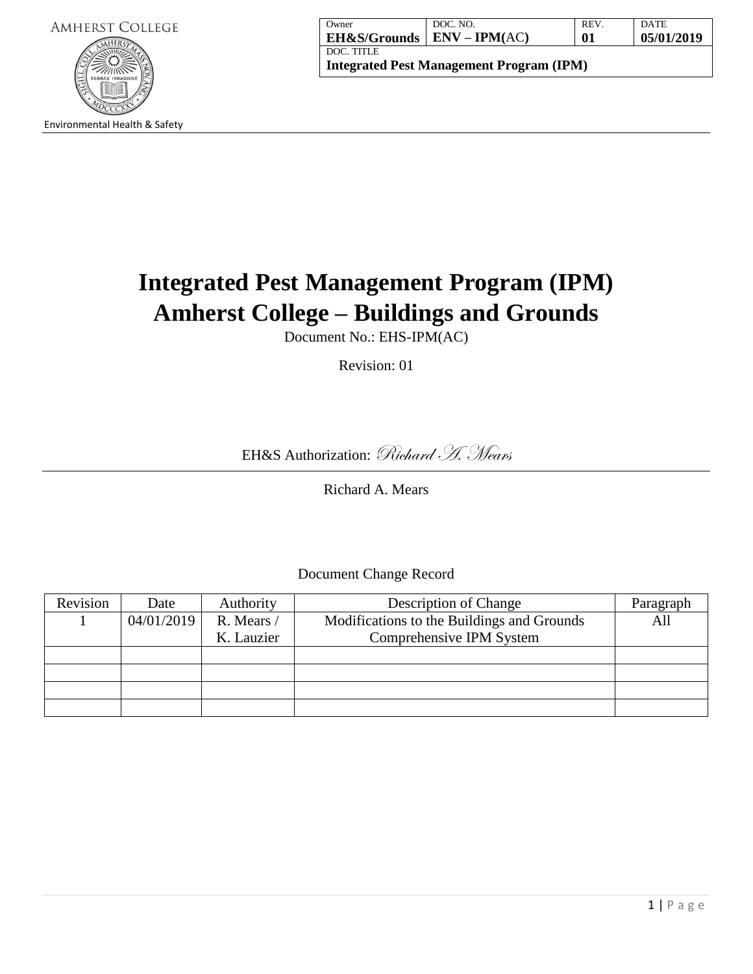

| Owner                                           | DOC. NO.                                               | <b>REV</b> | DATE       |  |
|-------------------------------------------------|--------------------------------------------------------|------------|------------|--|
|                                                 | <b>EH&amp;S/Grounds</b>   <b>ENV</b> – <b>IPM</b> (AC) | 01         | 05/01/2019 |  |
| DOC. TITLE                                      |                                                        |            |            |  |
| <b>Integrated Pest Management Program (IPM)</b> |                                                        |            |            |  |

# **Integrated Pest Management Program (IPM) Amherst College – Buildings and Grounds**

Document No.: EHS-IPM(AC)

Revision: 01

EH&S Authorization: Richard H. Mears

Richard A. Mears

Document Change Record

| Revision | Date       | Authority  | Description of Change                      | Paragraph |
|----------|------------|------------|--------------------------------------------|-----------|
|          | 04/01/2019 | R. Mears / | Modifications to the Buildings and Grounds | All       |
|          |            | K. Lauzier | Comprehensive IPM System                   |           |
|          |            |            |                                            |           |
|          |            |            |                                            |           |
|          |            |            |                                            |           |
|          |            |            |                                            |           |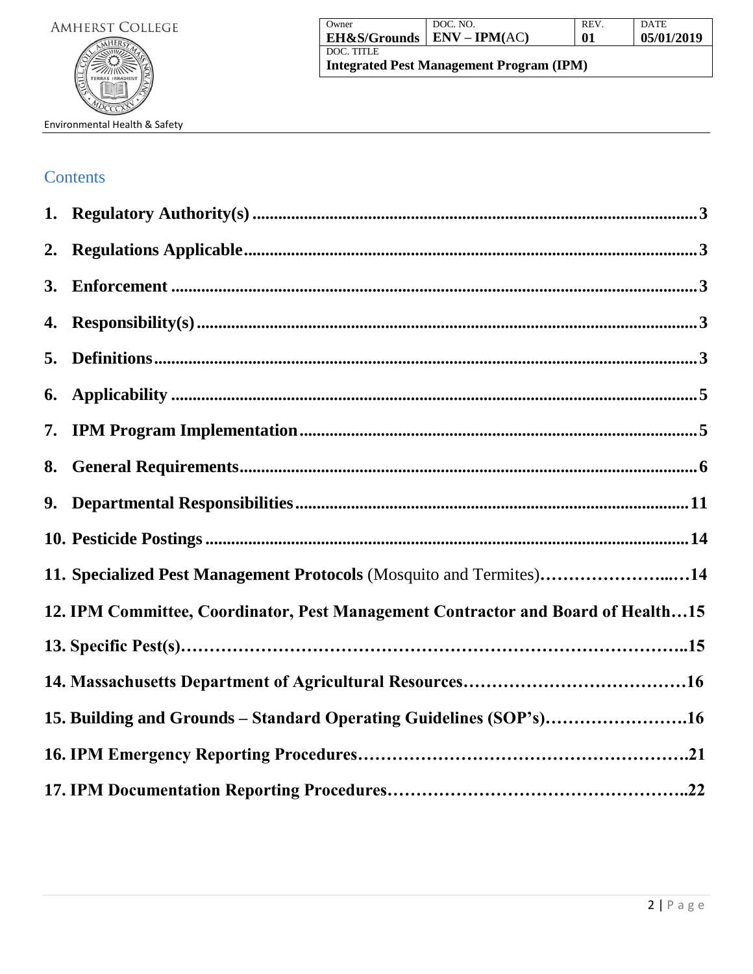| Owner                                           | DOC. NO.                     | REV. | <b>DATE</b> |
|-------------------------------------------------|------------------------------|------|-------------|
|                                                 | EH&S/Grounds   ENV – IPM(AC) | 01   | 05/01/2019  |
| DOC. TITLE                                      |                              |      |             |
| <b>Integrated Pest Management Program (IPM)</b> |                              |      |             |

# **Contents**

| 2. |                                                                                  |
|----|----------------------------------------------------------------------------------|
| 3. |                                                                                  |
| 4. |                                                                                  |
| 5. |                                                                                  |
| 6. |                                                                                  |
| 7. |                                                                                  |
| 8. |                                                                                  |
| 9. |                                                                                  |
|    |                                                                                  |
|    | 11. Specialized Pest Management Protocols (Mosquito and Termites)14              |
|    | 12. IPM Committee, Coordinator, Pest Management Contractor and Board of Health15 |
|    |                                                                                  |
|    |                                                                                  |
|    | 15. Building and Grounds - Standard Operating Guidelines (SOP's)16               |
|    |                                                                                  |
|    |                                                                                  |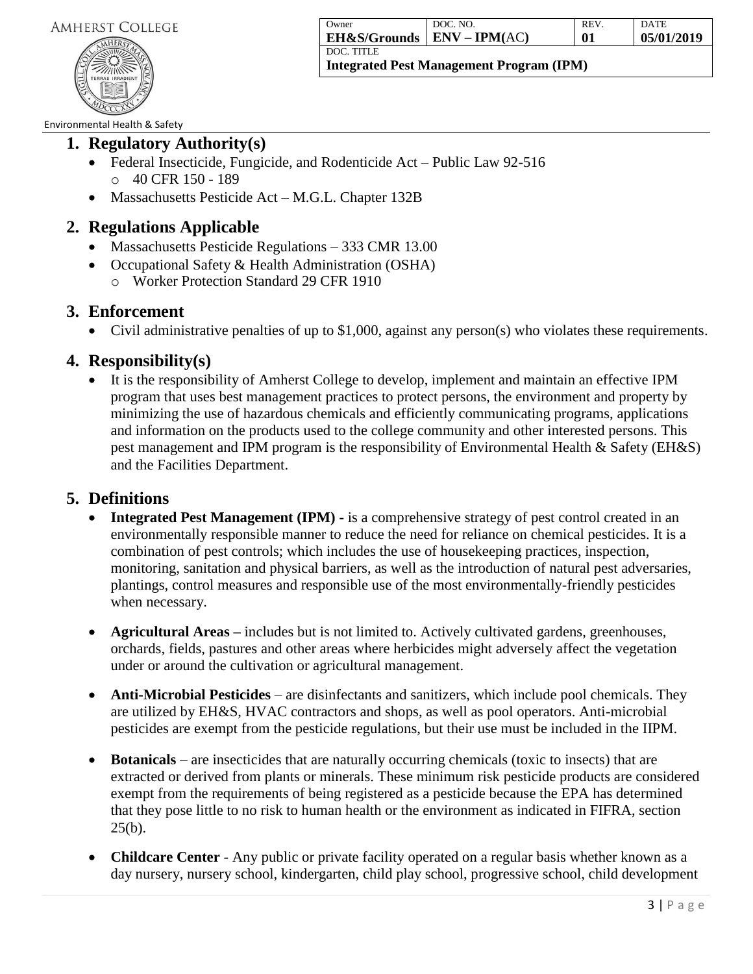

| Owner                   | DOC. NO.        | <b>REV</b> | <b>DATE</b> |
|-------------------------|-----------------|------------|-------------|
| <b>EH&amp;S/Grounds</b> | $ENV - IPM(AC)$ | 01         | 05/01/2019  |
| DOC. TITLE              |                 |            |             |

### Environmental Health & Safety

# **1. Regulatory Authority(s)**

- Federal Insecticide, Fungicide, and Rodenticide Act Public Law 92-516 o 40 CFR 150 - 189
- Massachusetts Pesticide Act M.G.L. Chapter 132B

# **2. Regulations Applicable**

- Massachusetts Pesticide Regulations 333 CMR 13.00
- Occupational Safety & Health Administration (OSHA)
	- o Worker Protection Standard 29 CFR 1910

# **3. Enforcement**

Civil administrative penalties of up to \$1,000, against any person(s) who violates these requirements.

# **4. Responsibility(s)**

 It is the responsibility of Amherst College to develop, implement and maintain an effective IPM program that uses best management practices to protect persons, the environment and property by minimizing the use of hazardous chemicals and efficiently communicating programs, applications and information on the products used to the college community and other interested persons. This pest management and IPM program is the responsibility of Environmental Health & Safety (EH&S) and the Facilities Department.

# **5. Definitions**

- Integrated Pest Management (IPM) is a comprehensive strategy of pest control created in an environmentally responsible manner to reduce the need for reliance on chemical pesticides. It is a combination of pest controls; which includes the use of housekeeping practices, inspection, monitoring, sanitation and physical barriers, as well as the introduction of natural pest adversaries, plantings, control measures and responsible use of the most environmentally-friendly pesticides when necessary.
- **Agricultural Areas –** includes but is not limited to. Actively cultivated gardens, greenhouses, orchards, fields, pastures and other areas where herbicides might adversely affect the vegetation under or around the cultivation or agricultural management.
- **Anti-Microbial Pesticides** are disinfectants and sanitizers, which include pool chemicals. They are utilized by EH&S, HVAC contractors and shops, as well as pool operators. Anti-microbial pesticides are exempt from the pesticide regulations, but their use must be included in the IIPM.
- **Botanicals**  are insecticides that are naturally occurring chemicals (toxic to insects) that are extracted or derived from plants or minerals. These minimum risk pesticide products are considered exempt from the requirements of being registered as a pesticide because the EPA has determined that they pose little to no risk to human health or the environment as indicated in FIFRA, section  $25(b)$ .
- **Childcare Center** Any public or private facility operated on a regular basis whether known as a day nursery, nursery school, kindergarten, child play school, progressive school, child development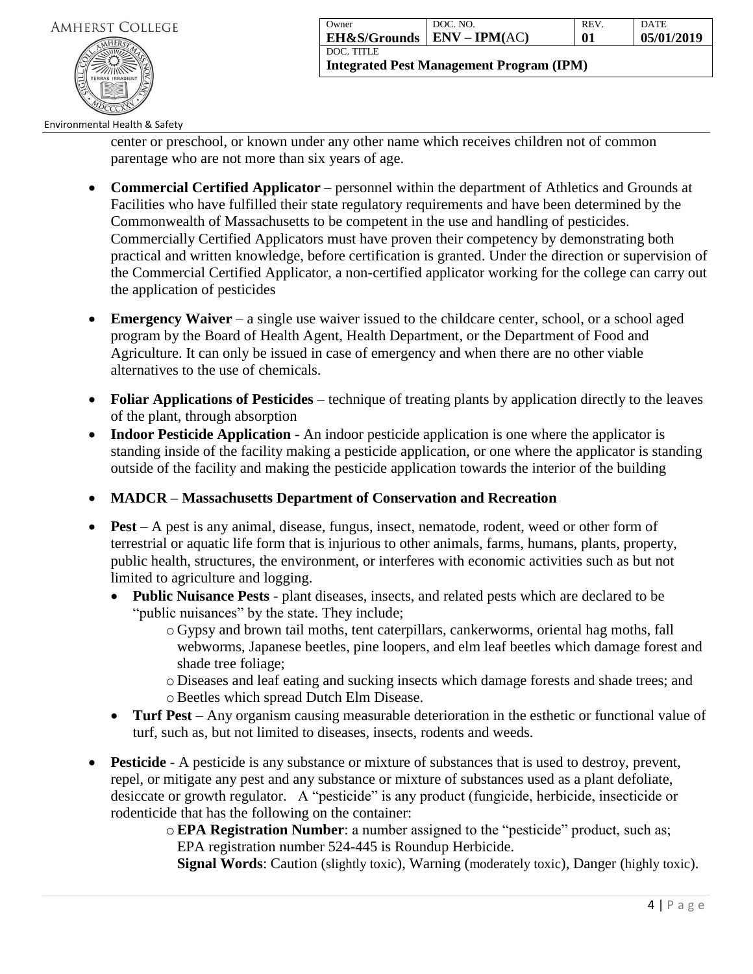

| Owner                                      | DOC. NO. | <b>REV</b> | <b>DATE</b> |
|--------------------------------------------|----------|------------|-------------|
| $\vert$ EH&S/Grounds $\vert$ ENV – IPM(AC) |          | 01         | 05/01/2019  |
| DOC. TITLE                                 |          |            |             |

**Integrated Pest Management Program (IPM)**

### Environmental Health & Safety

center or preschool, or known under any other name which receives children not of common parentage who are not more than six years of age.

- **Commercial Certified Applicator** personnel within the department of Athletics and Grounds at Facilities who have fulfilled their state regulatory requirements and have been determined by the Commonwealth of Massachusetts to be competent in the use and handling of pesticides. Commercially Certified Applicators must have proven their competency by demonstrating both practical and written knowledge, before certification is granted. Under the direction or supervision of the Commercial Certified Applicator, a non-certified applicator working for the college can carry out the application of pesticides
- **Emergency Waiver** a single use waiver issued to the childcare center, school, or a school aged program by the Board of Health Agent, Health Department, or the Department of Food and Agriculture. It can only be issued in case of emergency and when there are no other viable alternatives to the use of chemicals.
- **Foliar Applications of Pesticides**  technique of treating plants by application directly to the leaves of the plant, through absorption
- **Indoor Pesticide Application** An indoor pesticide application is one where the applicator is standing inside of the facility making a pesticide application, or one where the applicator is standing outside of the facility and making the pesticide application towards the interior of the building
- **MADCR – Massachusetts Department of Conservation and Recreation**
- **Pest** A pest is any animal, disease, fungus, insect, nematode, rodent, weed or other form of terrestrial or aquatic life form that is injurious to other animals, farms, humans, plants, property, public health, structures, the environment, or interferes with economic activities such as but not limited to agriculture and logging.
	- **Public Nuisance Pests**  plant diseases, insects, and related pests which are declared to be "public nuisances" by the state. They include;
		- o Gypsy and brown tail moths, tent caterpillars, cankerworms, oriental hag moths, fall webworms, Japanese beetles, pine loopers, and elm leaf beetles which damage forest and shade tree foliage;
		- o Diseases and leaf eating and sucking insects which damage forests and shade trees; and oBeetles which spread Dutch Elm Disease.
	- Turf Pest Any organism causing measurable deterioration in the esthetic or functional value of turf, such as, but not limited to diseases, insects, rodents and weeds.
- **Pesticide** A pesticide is any substance or mixture of substances that is used to destroy, prevent, repel, or mitigate any pest and any substance or mixture of substances used as a plant defoliate, desiccate or growth regulator. A "pesticide" is any product (fungicide, herbicide, insecticide or rodenticide that has the following on the container:
	- o**EPA Registration Number**: a number assigned to the "pesticide" product, such as; EPA registration number 524-445 is Roundup Herbicide.

**Signal Words**: Caution (slightly toxic), Warning (moderately toxic), Danger (highly toxic).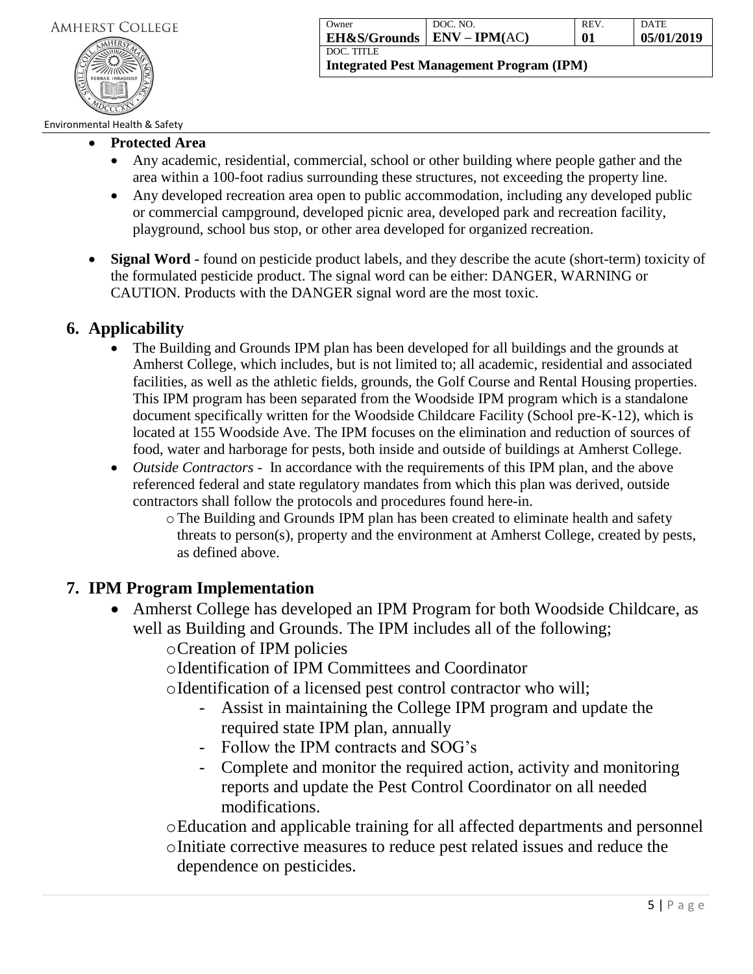

| Owner                        | DOC. NO. | <b>REV</b> | DATE       |
|------------------------------|----------|------------|------------|
| EH&S/Grounds   ENV – IPM(AC) |          | 01         | 05/01/2019 |
| DOC. TITLE                   |          |            |            |

### Environmental Health & Safety

- **Protected Area**
	- Any academic, residential, commercial, school or other building where people gather and the area within a 100-foot radius surrounding these structures, not exceeding the property line.
	- Any developed recreation area open to public accommodation, including any developed public or commercial campground, developed picnic area, developed park and recreation facility, playground, school bus stop, or other area developed for organized recreation.
- **Signal Word -** found on pesticide product labels, and they describe the acute (short-term) toxicity of the formulated pesticide product. The signal word can be either: DANGER, WARNING or CAUTION. Products with the DANGER signal word are the most toxic.

# **6. Applicability**

- The Building and Grounds IPM plan has been developed for all buildings and the grounds at Amherst College, which includes, but is not limited to; all academic, residential and associated facilities, as well as the athletic fields, grounds, the Golf Course and Rental Housing properties. This IPM program has been separated from the Woodside IPM program which is a standalone document specifically written for the Woodside Childcare Facility (School pre-K-12), which is located at 155 Woodside Ave. The IPM focuses on the elimination and reduction of sources of food, water and harborage for pests, both inside and outside of buildings at Amherst College.
- *Outside Contractors* In accordance with the requirements of this IPM plan, and the above referenced federal and state regulatory mandates from which this plan was derived, outside contractors shall follow the protocols and procedures found here-in.
	- $\circ$  The Building and Grounds IPM plan has been created to eliminate health and safety threats to person(s), property and the environment at Amherst College, created by pests, as defined above.

# **7. IPM Program Implementation**

• Amherst College has developed an IPM Program for both Woodside Childcare, as well as Building and Grounds. The IPM includes all of the following;

oCreation of IPM policies

oIdentification of IPM Committees and Coordinator

oIdentification of a licensed pest control contractor who will;

- Assist in maintaining the College IPM program and update the required state IPM plan, annually
- Follow the IPM contracts and SOG's
- Complete and monitor the required action, activity and monitoring reports and update the Pest Control Coordinator on all needed modifications.

oEducation and applicable training for all affected departments and personnel oInitiate corrective measures to reduce pest related issues and reduce the dependence on pesticides.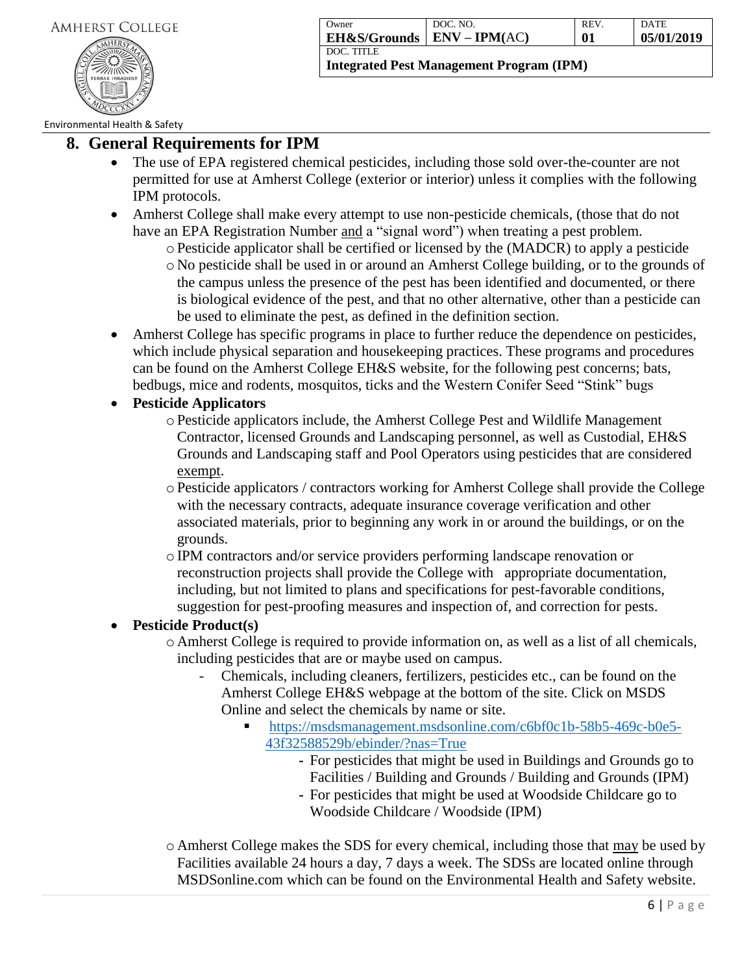

| Owner                                      | DOC. NO. | <b>REV</b> | <b>DATE</b> |
|--------------------------------------------|----------|------------|-------------|
| $\vert$ EH&S/Grounds $\vert$ ENV – IPM(AC) |          | 01         | 05/01/2019  |
| DOC. TITLE                                 |          |            |             |

Environmental Health & Safety

# **8. General Requirements for IPM**

- The use of EPA registered chemical pesticides, including those sold over-the-counter are not permitted for use at Amherst College (exterior or interior) unless it complies with the following IPM protocols.
- Amherst College shall make every attempt to use non-pesticide chemicals, (those that do not have an EPA Registration Number and a "signal word") when treating a pest problem.
	- oPesticide applicator shall be certified or licensed by the (MADCR) to apply a pesticide
	- o No pesticide shall be used in or around an Amherst College building, or to the grounds of the campus unless the presence of the pest has been identified and documented, or there is biological evidence of the pest, and that no other alternative, other than a pesticide can be used to eliminate the pest, as defined in the definition section.
- Amherst College has specific programs in place to further reduce the dependence on pesticides, which include physical separation and housekeeping practices. These programs and procedures can be found on the Amherst College EH&S website, for the following pest concerns; bats, bedbugs, mice and rodents, mosquitos, ticks and the Western Conifer Seed "Stink" bugs
- **Pesticide Applicators**
	- oPesticide applicators include, the Amherst College Pest and Wildlife Management Contractor, licensed Grounds and Landscaping personnel, as well as Custodial, EH&S Grounds and Landscaping staff and Pool Operators using pesticides that are considered exempt.
	- oPesticide applicators / contractors working for Amherst College shall provide the College with the necessary contracts, adequate insurance coverage verification and other associated materials, prior to beginning any work in or around the buildings, or on the grounds.
	- oIPM contractors and/or service providers performing landscape renovation or reconstruction projects shall provide the College with appropriate documentation, including, but not limited to plans and specifications for pest-favorable conditions, suggestion for pest-proofing measures and inspection of, and correction for pests.

# **Pesticide Product(s)**

- o Amherst College is required to provide information on, as well as a list of all chemicals, including pesticides that are or maybe used on campus.
	- Chemicals, including cleaners, fertilizers, pesticides etc., can be found on the Amherst College EH&S webpage at the bottom of the site. Click on MSDS Online and select the chemicals by name or site.
		- [https://msdsmanagement.msdsonline.com/c6bf0c1b-58b5-469c-b0e5-](https://msdsmanagement.msdsonline.com/c6bf0c1b-58b5-469c-b0e5-43f32588529b/ebinder/?nas=True) [43f32588529b/ebinder/?nas=True](https://msdsmanagement.msdsonline.com/c6bf0c1b-58b5-469c-b0e5-43f32588529b/ebinder/?nas=True)
			- **-** For pesticides that might be used in Buildings and Grounds go to Facilities / Building and Grounds / Building and Grounds (IPM)
			- **-** For pesticides that might be used at Woodside Childcare go to Woodside Childcare / Woodside (IPM)

o Amherst College makes the SDS for every chemical, including those that may be used by Facilities available 24 hours a day, 7 days a week. The SDSs are located online through MSDSonline.com which can be found on the Environmental Health and Safety website.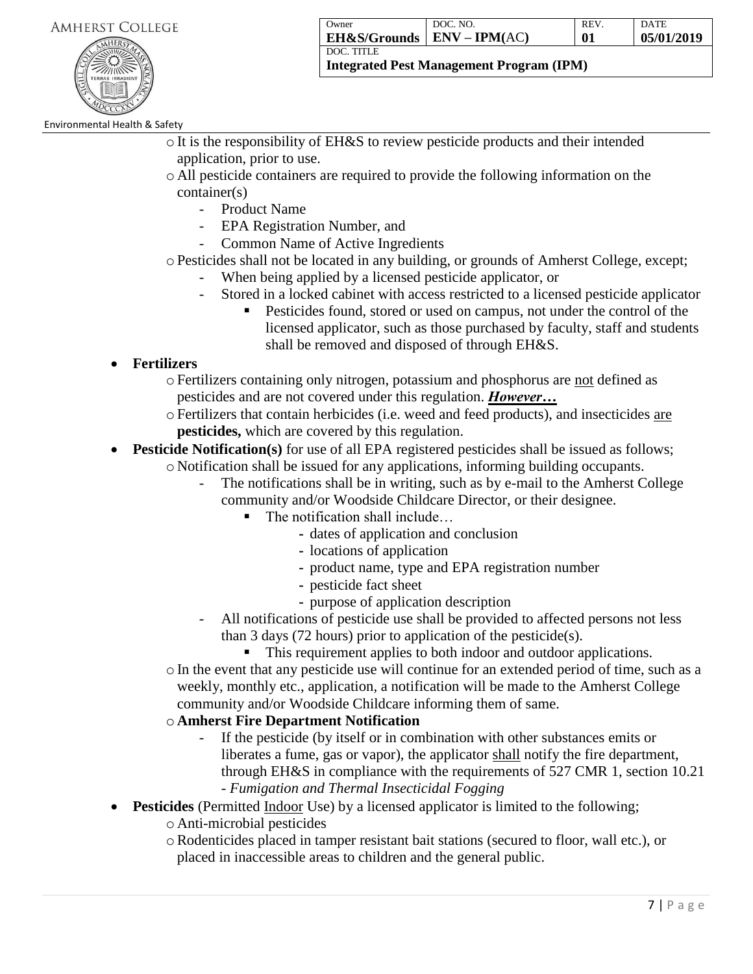

| Owner                   | DOC. NO.        | REV. | <b>DATE</b> |
|-------------------------|-----------------|------|-------------|
| <b>EH&amp;S/Grounds</b> | $ENV - IPM(AC)$ | 01   | 05/01/2019  |
| DOC. TITLE              |                 |      |             |

**Integrated Pest Management Program (IPM)**

### Environmental Health & Safety

- oIt is the responsibility of EH&S to review pesticide products and their intended application, prior to use.
- o All pesticide containers are required to provide the following information on the container(s)
	- Product Name
	- EPA Registration Number, and
	- Common Name of Active Ingredients
- oPesticides shall not be located in any building, or grounds of Amherst College, except;
	- When being applied by a licensed pesticide applicator, or
	- Stored in a locked cabinet with access restricted to a licensed pesticide applicator
		- Pesticides found, stored or used on campus, not under the control of the licensed applicator, such as those purchased by faculty, staff and students shall be removed and disposed of through EH&S.
- **Fertilizers**
	- $\circ$  Fertilizers containing only nitrogen, potassium and phosphorus are not defined as pesticides and are not covered under this regulation. *However…*
	- oFertilizers that contain herbicides (i.e. weed and feed products), and insecticides are **pesticides,** which are covered by this regulation.
- **Pesticide Notification(s)** for use of all EPA registered pesticides shall be issued as follows; o Notification shall be issued for any applications, informing building occupants.
	- The notifications shall be in writing, such as by e-mail to the Amherst College community and/or Woodside Childcare Director, or their designee.
		- The notification shall include...
			- **-** dates of application and conclusion
			- **-** locations of application
			- **-** product name, type and EPA registration number
			- **-** pesticide fact sheet
			- **-** purpose of application description
	- All notifications of pesticide use shall be provided to affected persons not less than 3 days (72 hours) prior to application of the pesticide(s).
		- This requirement applies to both indoor and outdoor applications.
	- oIn the event that any pesticide use will continue for an extended period of time, such as a weekly, monthly etc., application, a notification will be made to the Amherst College community and/or Woodside Childcare informing them of same.

# o **Amherst Fire Department Notification**

- If the pesticide (by itself or in combination with other substances emits or liberates a fume, gas or vapor), the applicator shall notify the fire department, through EH&S in compliance with the requirements of 527 CMR 1, section 10.21 - *Fumigation and Thermal Insecticidal Fogging*
- **Pesticides** (Permitted Indoor Use) by a licensed applicator is limited to the following;
	- o Anti-microbial pesticides
	- oRodenticides placed in tamper resistant bait stations (secured to floor, wall etc.), or placed in inaccessible areas to children and the general public.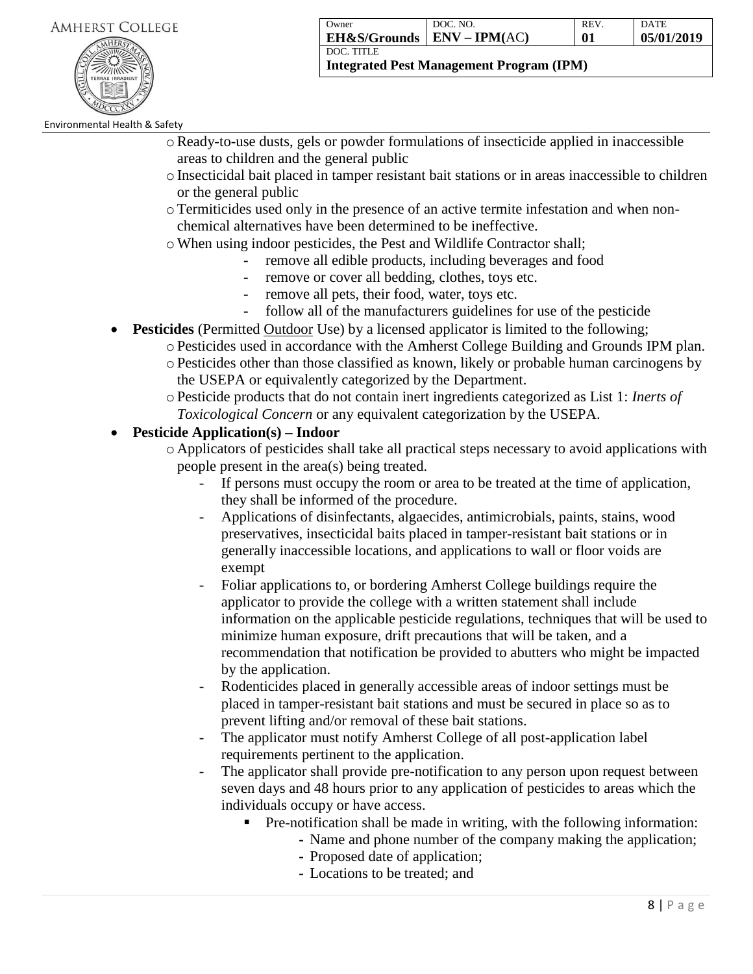

| Owner                   | DOC. NO.        | <b>REV</b> | <b>DATE</b> |
|-------------------------|-----------------|------------|-------------|
| <b>EH&amp;S/Grounds</b> | $ENV - IPM(AC)$ | 01         | 05/01/2019  |
| DOC. TITLE              |                 |            |             |

**Integrated Pest Management Program (IPM)**

Environmental Health & Safety

- oReady-to-use dusts, gels or powder formulations of insecticide applied in inaccessible areas to children and the general public
- oInsecticidal bait placed in tamper resistant bait stations or in areas inaccessible to children or the general public
- oTermiticides used only in the presence of an active termite infestation and when nonchemical alternatives have been determined to be ineffective.
- oWhen using indoor pesticides, the Pest and Wildlife Contractor shall;
	- **-** remove all edible products, including beverages and food
	- remove or cover all bedding, clothes, toys etc.
	- **-** remove all pets, their food, water, toys etc.
	- **-** follow all of the manufacturers guidelines for use of the pesticide
- **Pesticides** (Permitted Outdoor Use) by a licensed applicator is limited to the following;
	- oPesticides used in accordance with the Amherst College Building and Grounds IPM plan.
	- oPesticides other than those classified as known, likely or probable human carcinogens by the USEPA or equivalently categorized by the Department.
	- oPesticide products that do not contain inert ingredients categorized as List 1: *Inerts of Toxicological Concern* or any equivalent categorization by the USEPA.

# **Pesticide Application(s) – Indoor**

- o Applicators of pesticides shall take all practical steps necessary to avoid applications with people present in the area(s) being treated.
	- If persons must occupy the room or area to be treated at the time of application, they shall be informed of the procedure.
	- Applications of disinfectants, algaecides, antimicrobials, paints, stains, wood preservatives, insecticidal baits placed in tamper-resistant bait stations or in generally inaccessible locations, and applications to wall or floor voids are exempt
	- Foliar applications to, or bordering Amherst College buildings require the applicator to provide the college with a written statement shall include information on the applicable pesticide regulations, techniques that will be used to minimize human exposure, drift precautions that will be taken, and a recommendation that notification be provided to abutters who might be impacted by the application.
	- Rodenticides placed in generally accessible areas of indoor settings must be placed in tamper-resistant bait stations and must be secured in place so as to prevent lifting and/or removal of these bait stations.
	- The applicator must notify Amherst College of all post-application label requirements pertinent to the application.
	- The applicator shall provide pre-notification to any person upon request between seven days and 48 hours prior to any application of pesticides to areas which the individuals occupy or have access.
		- Pre-notification shall be made in writing, with the following information:
			- **-** Name and phone number of the company making the application;
			- **-** Proposed date of application;
			- **-** Locations to be treated; and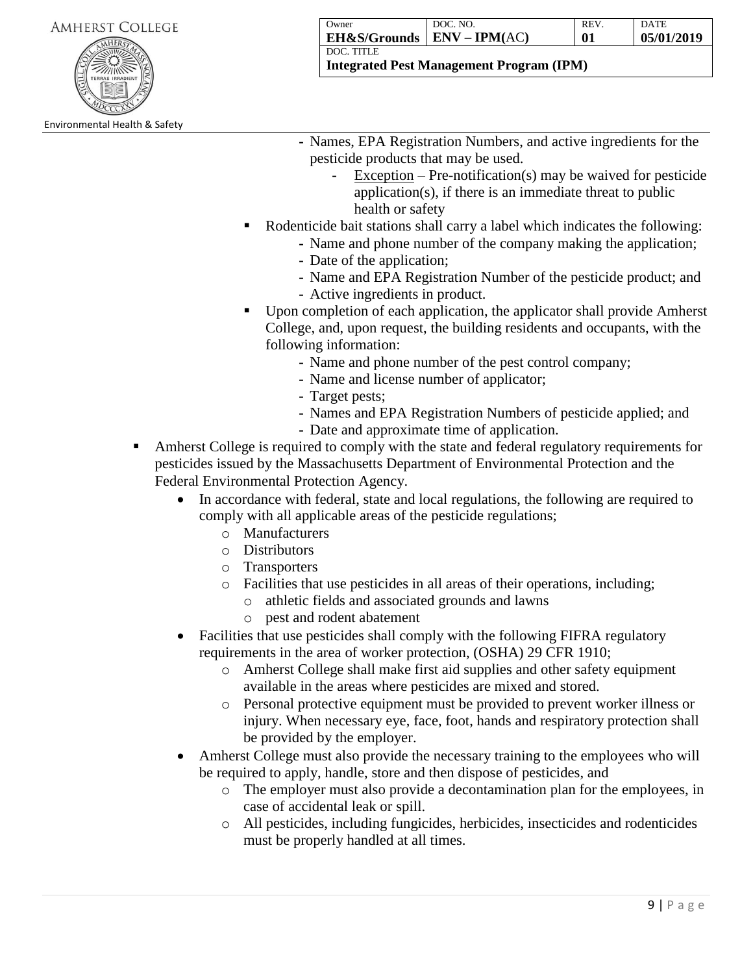**Integrated Pest Management Program (IPM)**

Environmental Health & Safety

- **-** Names, EPA Registration Numbers, and active ingredients for the pesticide products that may be used.
	- **-** Exception Pre-notification(s) may be waived for pesticide application(s), if there is an immediate threat to public health or safety
- Rodenticide bait stations shall carry a label which indicates the following:
	- **-** Name and phone number of the company making the application;
	- **-** Date of the application;
	- **-** Name and EPA Registration Number of the pesticide product; and
	- **-** Active ingredients in product.
- Upon completion of each application, the applicator shall provide Amherst College, and, upon request, the building residents and occupants, with the following information:
	- **-** Name and phone number of the pest control company;
	- **-** Name and license number of applicator;
	- **-** Target pests;
	- **-** Names and EPA Registration Numbers of pesticide applied; and
	- **-** Date and approximate time of application.
- Amherst College is required to comply with the state and federal regulatory requirements for pesticides issued by the Massachusetts Department of Environmental Protection and the Federal Environmental Protection Agency.
	- In accordance with federal, state and local regulations, the following are required to comply with all applicable areas of the pesticide regulations;
		- o Manufacturers
		- o Distributors
		- o Transporters
		- o Facilities that use pesticides in all areas of their operations, including;
			- o athletic fields and associated grounds and lawns
			- o pest and rodent abatement
	- Facilities that use pesticides shall comply with the following FIFRA regulatory requirements in the area of worker protection, (OSHA) 29 CFR 1910;
		- o Amherst College shall make first aid supplies and other safety equipment available in the areas where pesticides are mixed and stored.
		- o Personal protective equipment must be provided to prevent worker illness or injury. When necessary eye, face, foot, hands and respiratory protection shall be provided by the employer.
	- Amherst College must also provide the necessary training to the employees who will be required to apply, handle, store and then dispose of pesticides, and
		- o The employer must also provide a decontamination plan for the employees, in case of accidental leak or spill.
		- o All pesticides, including fungicides, herbicides, insecticides and rodenticides must be properly handled at all times.

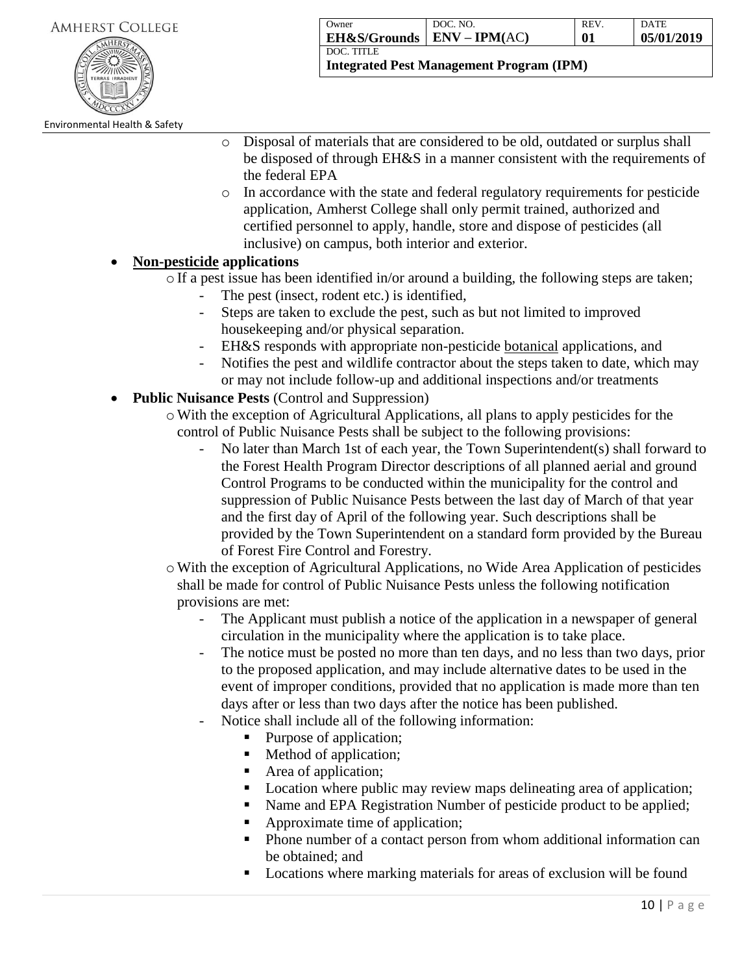

**Owner EH&S/Grounds** DOC. NO. **ENV – IPM(**AC**)** REV. **01** DATE **05/01/2019** DOC. TITLE

**Integrated Pest Management Program (IPM)**

- o Disposal of materials that are considered to be old, outdated or surplus shall be disposed of through EH&S in a manner consistent with the requirements of the federal EPA
- o In accordance with the state and federal regulatory requirements for pesticide application, Amherst College shall only permit trained, authorized and certified personnel to apply, handle, store and dispose of pesticides (all inclusive) on campus, both interior and exterior.

# **Non-pesticide applications**

 $\circ$  If a pest issue has been identified in/or around a building, the following steps are taken;

- The pest (insect, rodent etc.) is identified,
- Steps are taken to exclude the pest, such as but not limited to improved housekeeping and/or physical separation.
- EH&S responds with appropriate non-pesticide botanical applications, and
- Notifies the pest and wildlife contractor about the steps taken to date, which may or may not include follow-up and additional inspections and/or treatments
- **Public Nuisance Pests** (Control and Suppression)
	- $\circ$  With the exception of Agricultural Applications, all plans to apply pesticides for the control of Public Nuisance Pests shall be subject to the following provisions:
		- No later than March 1st of each year, the Town Superintendent(s) shall forward to the Forest Health Program Director descriptions of all planned aerial and ground Control Programs to be conducted within the municipality for the control and suppression of Public Nuisance Pests between the last day of March of that year and the first day of April of the following year. Such descriptions shall be provided by the Town Superintendent on a standard form provided by the Bureau of Forest Fire Control and Forestry.
	- oWith the exception of Agricultural Applications, no Wide Area Application of pesticides shall be made for control of Public Nuisance Pests unless the following notification provisions are met:
		- The Applicant must publish a notice of the application in a newspaper of general circulation in the municipality where the application is to take place.
		- The notice must be posted no more than ten days, and no less than two days, prior to the proposed application, and may include alternative dates to be used in the event of improper conditions, provided that no application is made more than ten days after or less than two days after the notice has been published.
		- Notice shall include all of the following information:
			- Purpose of application;
			- Method of application;
			- Area of application;
			- **Location where public may review maps delineating area of application;**
			- Name and EPA Registration Number of pesticide product to be applied;
			- Approximate time of application;
			- Phone number of a contact person from whom additional information can be obtained; and
			- Locations where marking materials for areas of exclusion will be found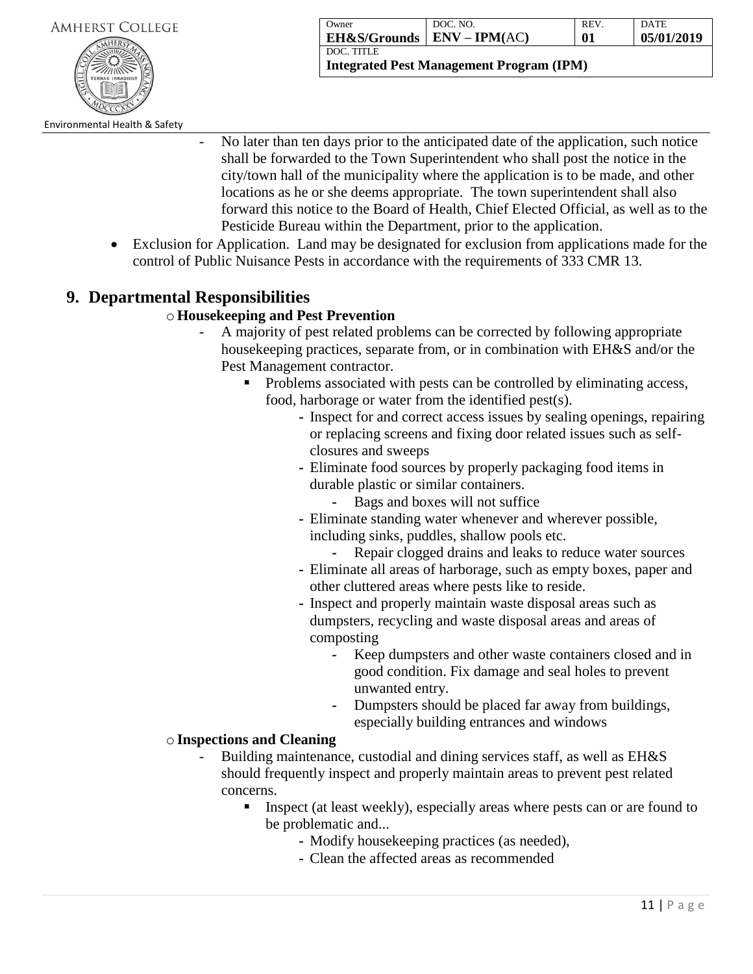

| Owner                           | DOC. NO. | <b>REV</b> | DATE       |
|---------------------------------|----------|------------|------------|
| $EH$ &S/Grounds $EIV - IPM(AC)$ |          | 01         | 05/01/2019 |
| DOC. TITLE                      |          |            |            |

**Integrated Pest Management Program (IPM)**

Environmental Health & Safety

- No later than ten days prior to the anticipated date of the application, such notice shall be forwarded to the Town Superintendent who shall post the notice in the city/town hall of the municipality where the application is to be made, and other locations as he or she deems appropriate. The town superintendent shall also forward this notice to the Board of Health, Chief Elected Official, as well as to the Pesticide Bureau within the Department, prior to the application.
- Exclusion for Application. Land may be designated for exclusion from applications made for the control of Public Nuisance Pests in accordance with the requirements of 333 CMR 13.

# **9. Departmental Responsibilities**

# o**Housekeeping and Pest Prevention**

- A majority of pest related problems can be corrected by following appropriate housekeeping practices, separate from, or in combination with EH&S and/or the Pest Management contractor.
	- Problems associated with pests can be controlled by eliminating access, food, harborage or water from the identified pest(s).
		- **-** Inspect for and correct access issues by sealing openings, repairing or replacing screens and fixing door related issues such as selfclosures and sweeps
		- **-** Eliminate food sources by properly packaging food items in durable plastic or similar containers.
			- **-** Bags and boxes will not suffice
		- **-** Eliminate standing water whenever and wherever possible, including sinks, puddles, shallow pools etc.
			- **-** Repair clogged drains and leaks to reduce water sources
		- **-** Eliminate all areas of harborage, such as empty boxes, paper and other cluttered areas where pests like to reside.
		- **-** Inspect and properly maintain waste disposal areas such as dumpsters, recycling and waste disposal areas and areas of composting
			- **-** Keep dumpsters and other waste containers closed and in good condition. Fix damage and seal holes to prevent unwanted entry.
			- **-** Dumpsters should be placed far away from buildings, especially building entrances and windows

### o**Inspections and Cleaning**

- Building maintenance, custodial and dining services staff, as well as EH&S should frequently inspect and properly maintain areas to prevent pest related concerns.
	- Inspect (at least weekly), especially areas where pests can or are found to be problematic and...
		- **-** Modify housekeeping practices (as needed),
		- **-** Clean the affected areas as recommended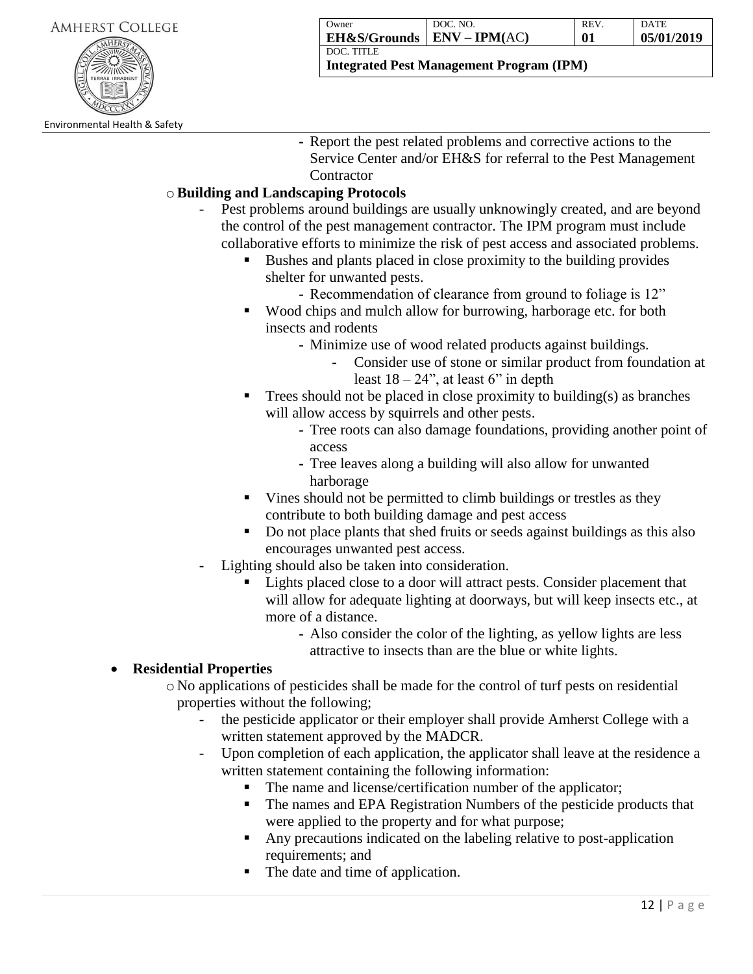| <b>AMHERST COLLEGE</b> |  |
|------------------------|--|
|                        |  |



| Owner                        | DOC. NO. | <b>REV</b> | DATE       |
|------------------------------|----------|------------|------------|
| EH&S/Grounds   ENV – IPM(AC) |          | 01         | 05/01/2019 |
| DOC. TITLE                   |          |            |            |

**-** Report the pest related problems and corrective actions to the Service Center and/or EH&S for referral to the Pest Management **Contractor** 

# o**Building and Landscaping Protocols**

- Pest problems around buildings are usually unknowingly created, and are beyond the control of the pest management contractor. The IPM program must include collaborative efforts to minimize the risk of pest access and associated problems.
	- Bushes and plants placed in close proximity to the building provides shelter for unwanted pests.
		- **-** Recommendation of clearance from ground to foliage is 12"
	- Wood chips and mulch allow for burrowing, harborage etc. for both insects and rodents
		- **-** Minimize use of wood related products against buildings.
			- **-** Consider use of stone or similar product from foundation at least  $18 - 24$ ", at least 6" in depth
	- Trees should not be placed in close proximity to building(s) as branches will allow access by squirrels and other pests.
		- **-** Tree roots can also damage foundations, providing another point of access
		- **-** Tree leaves along a building will also allow for unwanted harborage
	- Vines should not be permitted to climb buildings or trestles as they contribute to both building damage and pest access
	- Do not place plants that shed fruits or seeds against buildings as this also encourages unwanted pest access.
	- Lighting should also be taken into consideration.
		- Lights placed close to a door will attract pests. Consider placement that will allow for adequate lighting at doorways, but will keep insects etc., at more of a distance.
			- **-** Also consider the color of the lighting, as yellow lights are less attractive to insects than are the blue or white lights.

# **Residential Properties**

- o No applications of pesticides shall be made for the control of turf pests on residential properties without the following;
	- the pesticide applicator or their employer shall provide Amherst College with a written statement approved by the MADCR.
	- Upon completion of each application, the applicator shall leave at the residence a written statement containing the following information:
		- The name and license/certification number of the applicator;
		- The names and EPA Registration Numbers of the pesticide products that were applied to the property and for what purpose;
		- Any precautions indicated on the labeling relative to post-application requirements; and
		- The date and time of application.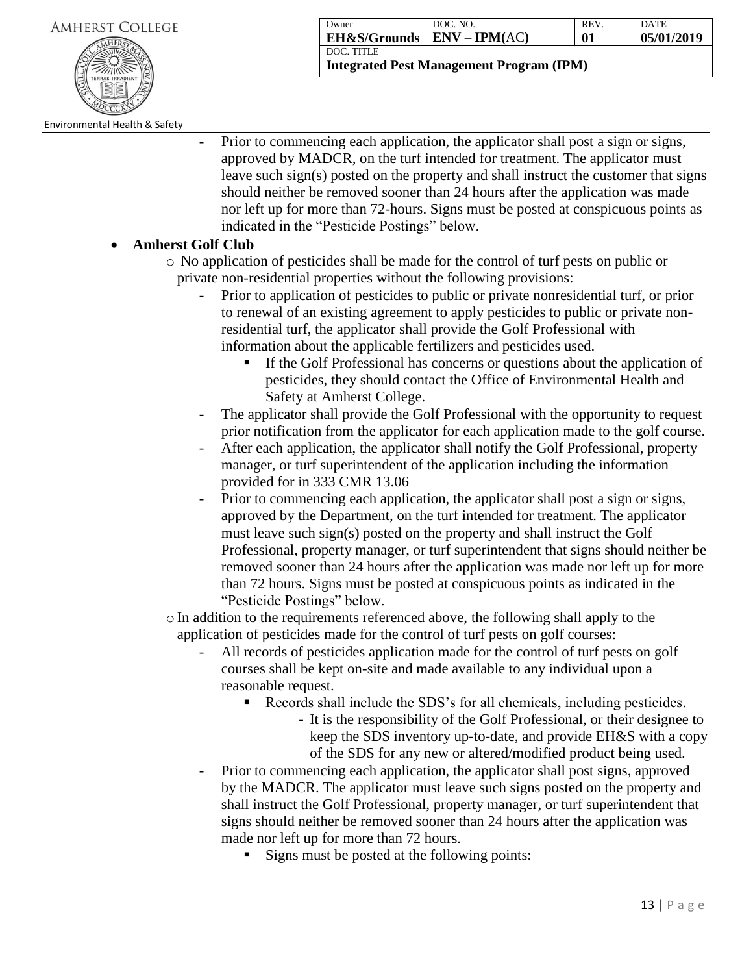

| Owner                                      | DOC. NO. | <b>REV</b> | DATE       |
|--------------------------------------------|----------|------------|------------|
| $\vert$ EH&S/Grounds $\vert$ ENV – IPM(AC) |          | 01         | 05/01/2019 |
| <b>DOC. TITLE</b>                          |          |            |            |

**Integrated Pest Management Program (IPM)**

Environmental Health & Safety

Prior to commencing each application, the applicator shall post a sign or signs, approved by MADCR, on the turf intended for treatment. The applicator must leave such sign(s) posted on the property and shall instruct the customer that signs should neither be removed sooner than 24 hours after the application was made nor left up for more than 72-hours. Signs must be posted at conspicuous points as indicated in the "Pesticide Postings" below.

### **Amherst Golf Club**

- o No application of pesticides shall be made for the control of turf pests on public or private non-residential properties without the following provisions:
	- Prior to application of pesticides to public or private nonresidential turf, or prior to renewal of an existing agreement to apply pesticides to public or private nonresidential turf, the applicator shall provide the Golf Professional with information about the applicable fertilizers and pesticides used.
		- If the Golf Professional has concerns or questions about the application of pesticides, they should contact the Office of Environmental Health and Safety at Amherst College.
	- The applicator shall provide the Golf Professional with the opportunity to request prior notification from the applicator for each application made to the golf course.
	- After each application, the applicator shall notify the Golf Professional, property manager, or turf superintendent of the application including the information provided for in 333 CMR 13.06
	- Prior to commencing each application, the applicator shall post a sign or signs, approved by the Department, on the turf intended for treatment. The applicator must leave such sign(s) posted on the property and shall instruct the Golf Professional, property manager, or turf superintendent that signs should neither be removed sooner than 24 hours after the application was made nor left up for more than 72 hours. Signs must be posted at conspicuous points as indicated in the "Pesticide Postings" below.
- $\circ$  In addition to the requirements referenced above, the following shall apply to the application of pesticides made for the control of turf pests on golf courses:
	- All records of pesticides application made for the control of turf pests on golf courses shall be kept on-site and made available to any individual upon a reasonable request.
		- Records shall include the SDS's for all chemicals, including pesticides.
			- **-** It is the responsibility of the Golf Professional, or their designee to keep the SDS inventory up-to-date, and provide EH&S with a copy of the SDS for any new or altered/modified product being used.
	- Prior to commencing each application, the applicator shall post signs, approved by the MADCR. The applicator must leave such signs posted on the property and shall instruct the Golf Professional, property manager, or turf superintendent that signs should neither be removed sooner than 24 hours after the application was made nor left up for more than 72 hours.
		- Signs must be posted at the following points: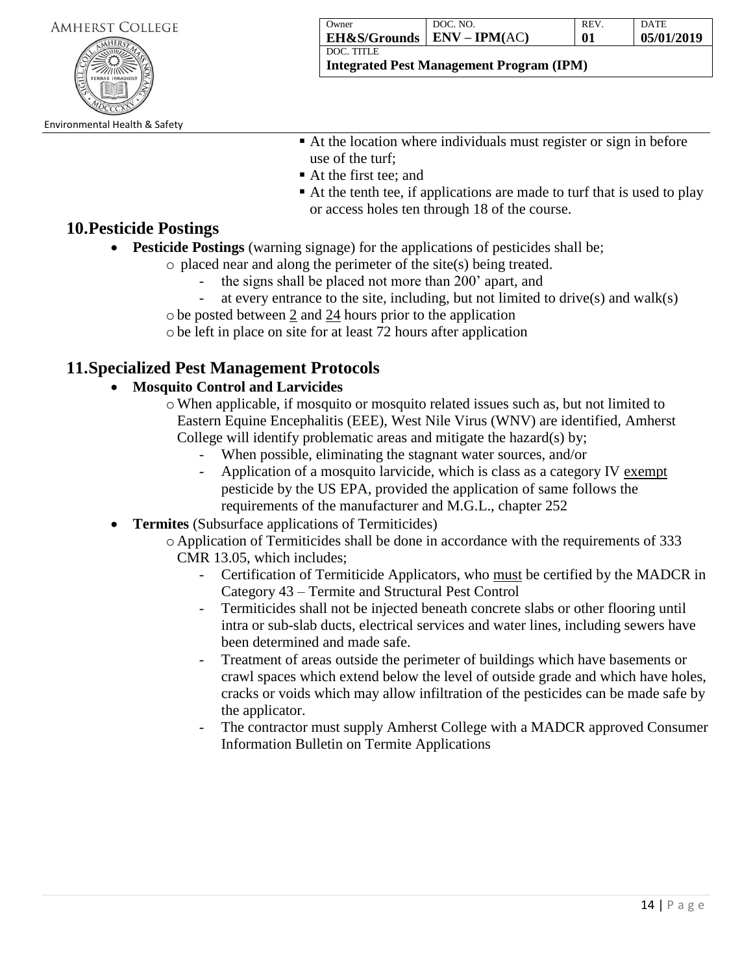14 | P a g e

**Integrated Pest Management Program (IPM)**

- At the location where individuals must register or sign in before use of the turf;
	- At the first tee: and
	- At the tenth tee, if applications are made to turf that is used to play or access holes ten through 18 of the course.

# **10.Pesticide Postings**

- **Pesticide Postings** (warning signage) for the applications of pesticides shall be;
	- o placed near and along the perimeter of the site(s) being treated.
		- the signs shall be placed not more than 200' apart, and
		- at every entrance to the site, including, but not limited to drive(s) and walk(s)
	- obe posted between 2 and 24 hours prior to the application

obe left in place on site for at least 72 hours after application

# **11.Specialized Pest Management Protocols**

# **Mosquito Control and Larvicides**

- oWhen applicable, if mosquito or mosquito related issues such as, but not limited to Eastern Equine Encephalitis (EEE), West Nile Virus (WNV) are identified, Amherst College will identify problematic areas and mitigate the hazard(s) by;
	- When possible, eliminating the stagnant water sources, and/or
	- Application of a mosquito larvicide, which is class as a category IV exempt pesticide by the US EPA, provided the application of same follows the requirements of the manufacturer and M.G.L., chapter 252
- **Termites** (Subsurface applications of Termiticides)
	- o Application of Termiticides shall be done in accordance with the requirements of 333 CMR 13.05, which includes;
		- Certification of Termiticide Applicators, who must be certified by the MADCR in Category 43 – Termite and Structural Pest Control
		- Termiticides shall not be injected beneath concrete slabs or other flooring until intra or sub-slab ducts, electrical services and water lines, including sewers have been determined and made safe.
		- Treatment of areas outside the perimeter of buildings which have basements or crawl spaces which extend below the level of outside grade and which have holes, cracks or voids which may allow infiltration of the pesticides can be made safe by the applicator.
		- The contractor must supply Amherst College with a MADCR approved Consumer Information Bulletin on Termite Applications



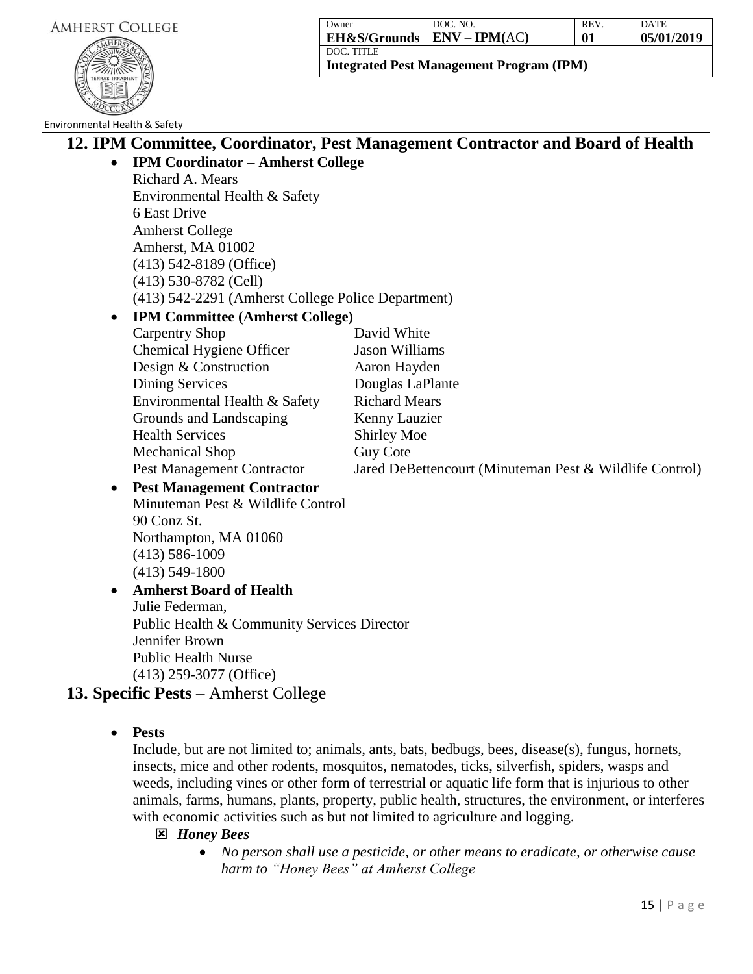

| Owner                   | DOC. NO.        | <b>REV</b> | <b>DATE</b> |
|-------------------------|-----------------|------------|-------------|
| <b>EH&amp;S/Grounds</b> | $ENV - IPM(AC)$ | 01         | 05/01/2019  |
| DOC. TITLE              |                 |            |             |

**Integrated Pest Management Program (IPM)**

### Environmental Health & Safety

# **12. IPM Committee, Coordinator, Pest Management Contractor and Board of Health**

**IPM Coordinator – Amherst College**

Richard A. Mears Environmental Health & Safety 6 East Drive Amherst College Amherst, MA 01002 (413) 542-8189 (Office) (413) 530-8782 (Cell) (413) 542-2291 (Amherst College Police Department)

# **IPM Committee (Amherst College)**

| Carpentry Shop                | David White                                             |
|-------------------------------|---------------------------------------------------------|
| Chemical Hygiene Officer      | Jason Williams                                          |
| Design & Construction         | Aaron Hayden                                            |
| Dining Services               | Douglas LaPlante                                        |
| Environmental Health & Safety | <b>Richard Mears</b>                                    |
| Grounds and Landscaping       | Kenny Lauzier                                           |
| <b>Health Services</b>        | Shirley Moe                                             |
| Mechanical Shop               | Guy Cote                                                |
| Pest Management Contractor    | Jared DeBettencourt (Minuteman Pest & Wildlife Control) |
|                               |                                                         |

 **Pest Management Contractor** Minuteman Pest & Wildlife Control 90 Conz St. Northampton, MA 01060 (413) 586-1009 (413) 549-1800

# **Amherst Board of Health** Julie Federman, Public Health & Community Services Director Jennifer Brown Public Health Nurse (413) 259-3077 (Office)

# **13. Specific Pests** – Amherst College

**Pests**

Include, but are not limited to; animals, ants, bats, bedbugs, bees, disease(s), fungus, hornets, insects, mice and other rodents, mosquitos, nematodes, ticks, silverfish, spiders, wasps and weeds, including vines or other form of terrestrial or aquatic life form that is injurious to other animals, farms, humans, plants, property, public health, structures, the environment, or interferes with economic activities such as but not limited to agriculture and logging.

- *Honey Bees* 
	- *No person shall use a pesticide, or other means to eradicate, or otherwise cause harm to "Honey Bees" at Amherst College*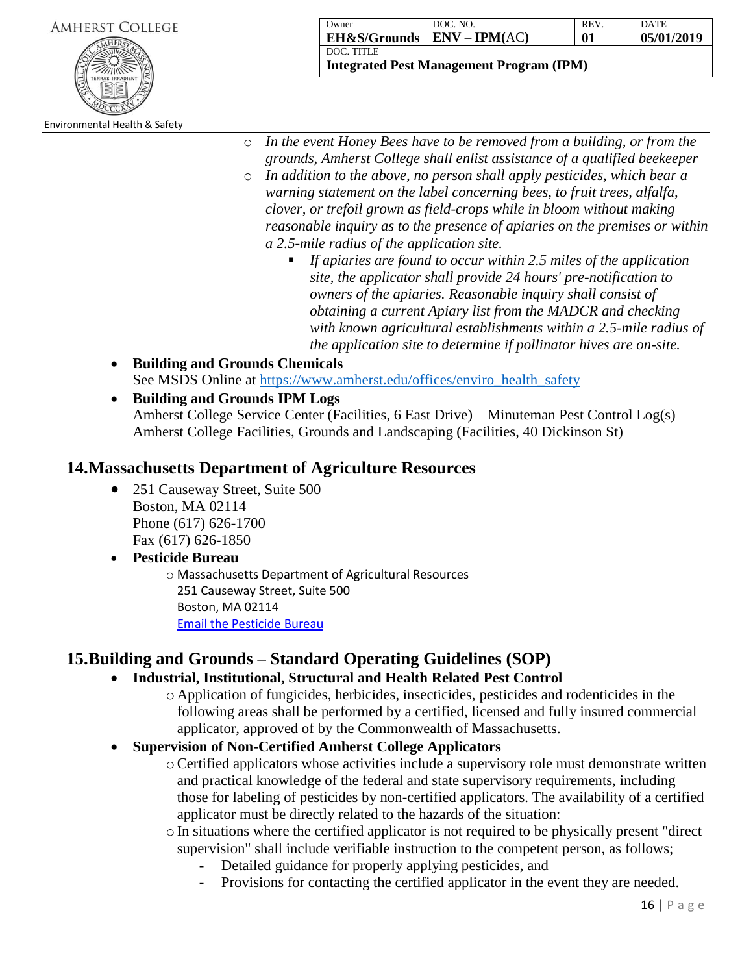| Amherst College |  |
|-----------------|--|
|                 |  |
|                 |  |

Environmental Health & Safety

| ()wner                                     | DOC. NO. | <b>REV</b> | <b>DATE</b> |
|--------------------------------------------|----------|------------|-------------|
| $\vert$ EH&S/Grounds $\vert$ ENV – IPM(AC) |          | 01         | 05/01/2019  |
| <b>DOC. TITLE</b>                          |          |            |             |

**Integrated Pest Management Program (IPM)**

- o *In the event Honey Bees have to be removed from a building, or from the grounds, Amherst College shall enlist assistance of a qualified beekeeper*
- o *In addition to the above, no person shall apply pesticides, which bear a warning statement on the label concerning bees, to fruit trees, alfalfa, clover, or trefoil grown as field-crops while in bloom without making reasonable inquiry as to the presence of apiaries on the premises or within a 2.5-mile radius of the application site.* 
	- *If apiaries are found to occur within 2.5 miles of the application site, the applicator shall provide 24 hours' pre-notification to owners of the apiaries. Reasonable inquiry shall consist of obtaining a current Apiary list from the MADCR and checking with known agricultural establishments within a 2.5-mile radius of the application site to determine if pollinator hives are on-site.*
- **Building and Grounds Chemicals** See MSDS Online at [https://www.amherst.edu/offices/enviro\\_health\\_safety](https://www.amherst.edu/offices/enviro_health_safety)\_
- **Building and Grounds IPM Logs** Amherst College Service Center (Facilities, 6 East Drive) – Minuteman Pest Control Log(s) Amherst College Facilities, Grounds and Landscaping (Facilities, 40 Dickinson St)

# **14.Massachusetts Department of Agriculture Resources**

• 251 Causeway Street, Suite 500 Boston, MA 02114 Phone (617) 626-1700 Fax (617) 626-1850

### **Pesticide Bureau** o Massachusetts Department of Agricultural Resources

251 Causeway Street, Suite 500 Boston, MA 02114 [Email the Pesticide Bureau](mailto:SIPM-Plans@MassMail.State.MA.US)

# **15.Building and Grounds – Standard Operating Guidelines (SOP)**

# **Industrial, Institutional, Structural and Health Related Pest Control**

o Application of fungicides, herbicides, insecticides, pesticides and rodenticides in the following areas shall be performed by a certified, licensed and fully insured commercial applicator, approved of by the Commonwealth of Massachusetts.

# **Supervision of Non-Certified Amherst College Applicators**

- oCertified applicators whose activities include a supervisory role must demonstrate written and practical knowledge of the federal and state supervisory requirements, including those for labeling of pesticides by non-certified applicators. The availability of a certified applicator must be directly related to the hazards of the situation:
- oIn situations where the certified applicator is not required to be physically present "direct supervision" shall include verifiable instruction to the competent person, as follows;
	- Detailed guidance for properly applying pesticides, and
	- Provisions for contacting the certified applicator in the event they are needed.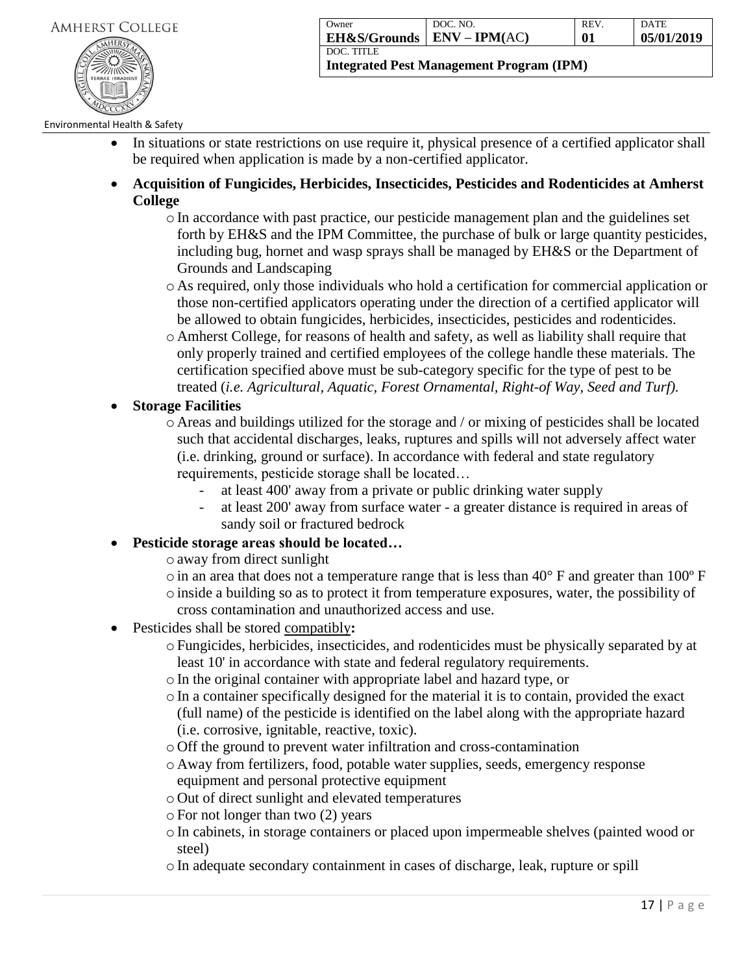

| Owner                        | DOC. NO. | <b>REV</b> | <b>DATE</b> |
|------------------------------|----------|------------|-------------|
| EH&S/Grounds   ENV – IPM(AC) |          | 01         | 05/01/2019  |
| DOC. TITLE                   |          |            |             |

### Environmental Health & Safety

- In situations or state restrictions on use require it, physical presence of a certified applicator shall be required when application is made by a non-certified applicator.
- **Acquisition of Fungicides, Herbicides, Insecticides, Pesticides and Rodenticides at Amherst College**
	- oIn accordance with past practice, our pesticide management plan and the guidelines set forth by EH&S and the IPM Committee, the purchase of bulk or large quantity pesticides, including bug, hornet and wasp sprays shall be managed by EH&S or the Department of Grounds and Landscaping
	- o As required, only those individuals who hold a certification for commercial application or those non-certified applicators operating under the direction of a certified applicator will be allowed to obtain fungicides, herbicides, insecticides, pesticides and rodenticides.
	- o Amherst College, for reasons of health and safety, as well as liability shall require that only properly trained and certified employees of the college handle these materials. The certification specified above must be sub-category specific for the type of pest to be treated (*i.e. Agricultural, Aquatic, Forest Ornamental, Right-of Way, Seed and Turf).*
- **Storage Facilities**
	- o Areas and buildings utilized for the storage and / or mixing of pesticides shall be located such that accidental discharges, leaks, ruptures and spills will not adversely affect water (i.e. drinking, ground or surface). In accordance with federal and state regulatory requirements, pesticide storage shall be located…
		- at least 400' away from a private or public drinking water supply
		- at least 200' away from surface water a greater distance is required in areas of sandy soil or fractured bedrock
- **Pesticide storage areas should be located…**
	- oaway from direct sunlight
	- $\circ$  in an area that does not a temperature range that is less than 40 $\degree$  F and greater than 100 $\degree$  F oinside a building so as to protect it from temperature exposures, water, the possibility of
	- cross contamination and unauthorized access and use.
- Pesticides shall be stored compatibly**:**
	- oFungicides, herbicides, insecticides, and rodenticides must be physically separated by at least 10' in accordance with state and federal regulatory requirements.
	- oIn the original container with appropriate label and hazard type, or
	- $\circ$  In a container specifically designed for the material it is to contain, provided the exact (full name) of the pesticide is identified on the label along with the appropriate hazard (i.e. corrosive, ignitable, reactive, toxic).
	- o Off the ground to prevent water infiltration and cross-contamination
	- o Away from fertilizers, food, potable water supplies, seeds, emergency response equipment and personal protective equipment
	- o Out of direct sunlight and elevated temperatures
	- $\circ$  For not longer than two (2) years
	- oIn cabinets, in storage containers or placed upon impermeable shelves (painted wood or steel)
	- $\circ$  In adequate secondary containment in cases of discharge, leak, rupture or spill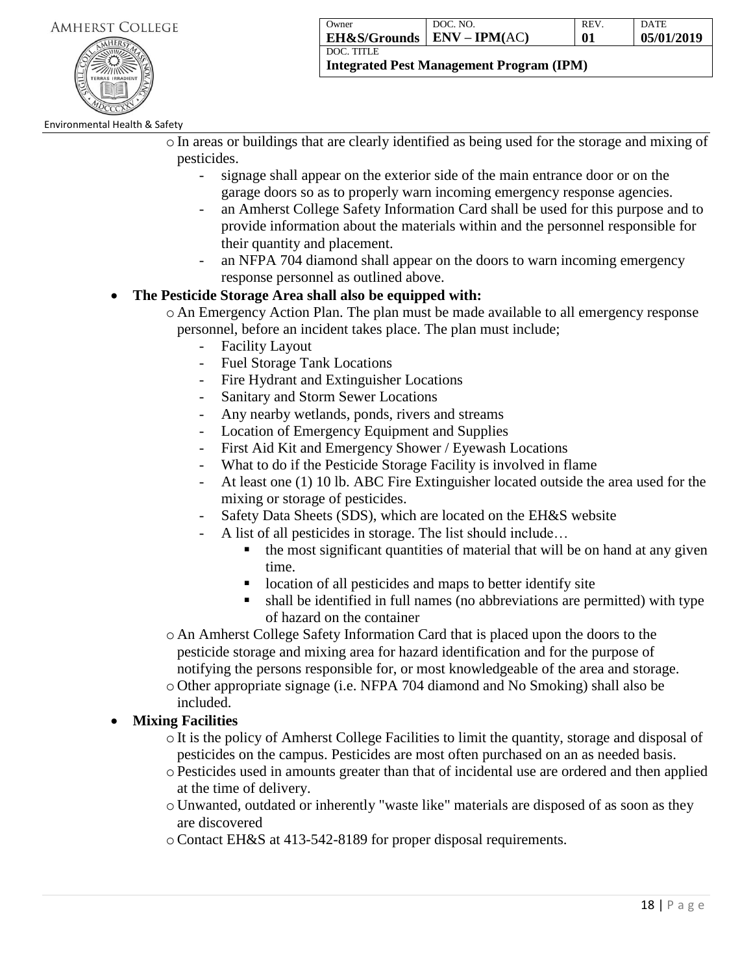

| Owner                           | DOC. NO. | <b>REV</b> | <b>DATE</b> |
|---------------------------------|----------|------------|-------------|
| $EH$ &S/Grounds $EIV - IPM(AC)$ |          | 01         | 05/01/2019  |
| DOC. TITLE                      |          |            |             |

### Environmental Health & Safety

- oIn areas or buildings that are clearly identified as being used for the storage and mixing of pesticides.
	- signage shall appear on the exterior side of the main entrance door or on the garage doors so as to properly warn incoming emergency response agencies.
	- an Amherst College Safety Information Card shall be used for this purpose and to provide information about the materials within and the personnel responsible for their quantity and placement.
	- an NFPA 704 diamond shall appear on the doors to warn incoming emergency response personnel as outlined above.

### **The Pesticide Storage Area shall also be equipped with:**

- o An Emergency Action Plan. The plan must be made available to all emergency response personnel, before an incident takes place. The plan must include;
	- Facility Layout
	- Fuel Storage Tank Locations
	- Fire Hydrant and Extinguisher Locations
	- Sanitary and Storm Sewer Locations
	- Any nearby wetlands, ponds, rivers and streams
	- Location of Emergency Equipment and Supplies
	- First Aid Kit and Emergency Shower / Eyewash Locations
	- What to do if the Pesticide Storage Facility is involved in flame
	- At least one (1) 10 lb. ABC Fire Extinguisher located outside the area used for the mixing or storage of pesticides.
	- Safety Data Sheets (SDS), which are located on the EH&S website
	- A list of all pesticides in storage. The list should include...
		- $\blacksquare$  the most significant quantities of material that will be on hand at any given time.
		- location of all pesticides and maps to better identify site
		- shall be identified in full names (no abbreviations are permitted) with type of hazard on the container
- o An Amherst College Safety Information Card that is placed upon the doors to the pesticide storage and mixing area for hazard identification and for the purpose of notifying the persons responsible for, or most knowledgeable of the area and storage.
- o Other appropriate signage (i.e. NFPA 704 diamond and No Smoking) shall also be included.

# **Mixing Facilities**

- oIt is the policy of Amherst College Facilities to limit the quantity, storage and disposal of pesticides on the campus. Pesticides are most often purchased on an as needed basis.
- oPesticides used in amounts greater than that of incidental use are ordered and then applied at the time of delivery.
- o Unwanted, outdated or inherently "waste like" materials are disposed of as soon as they are discovered
- oContact EH&S at 413-542-8189 for proper disposal requirements.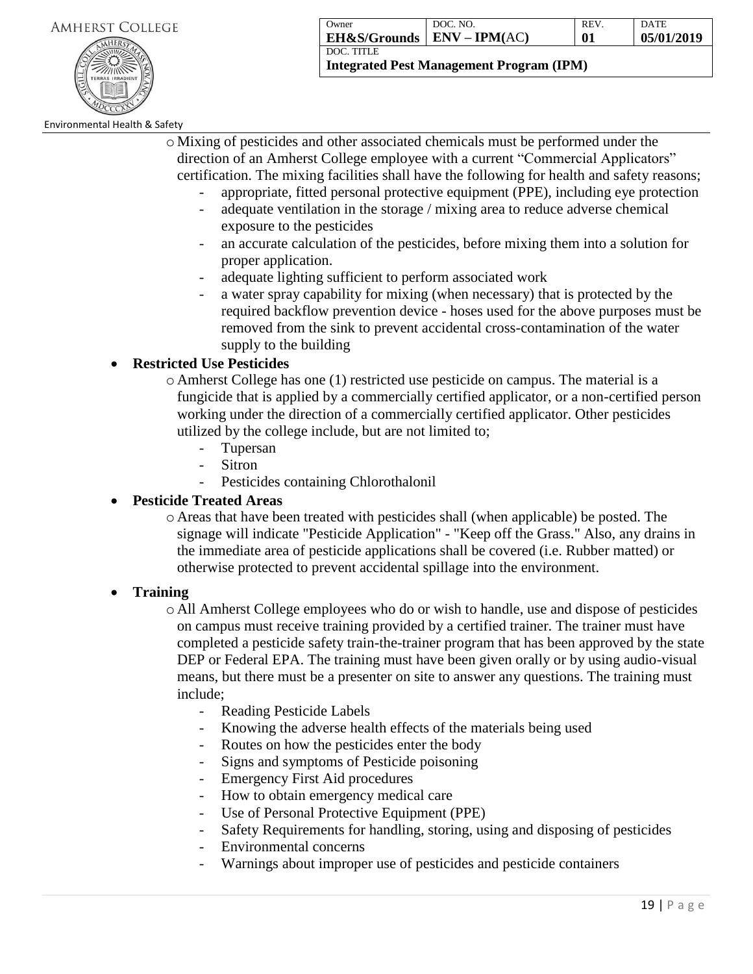

| Owner                           | DOC. NO. | <b>REV</b> | <b>DATE</b> |
|---------------------------------|----------|------------|-------------|
| $EH$ &S/Grounds $EIV - IPM(AC)$ |          | 01         | 05/01/2019  |
| DOC. TITLE                      |          |            |             |

### Environmental Health & Safety

o Mixing of pesticides and other associated chemicals must be performed under the direction of an Amherst College employee with a current "Commercial Applicators" certification. The mixing facilities shall have the following for health and safety reasons;

- appropriate, fitted personal protective equipment (PPE), including eye protection
- adequate ventilation in the storage / mixing area to reduce adverse chemical exposure to the pesticides
- an accurate calculation of the pesticides, before mixing them into a solution for proper application.
- adequate lighting sufficient to perform associated work
- a water spray capability for mixing (when necessary) that is protected by the required backflow prevention device - hoses used for the above purposes must be removed from the sink to prevent accidental cross-contamination of the water supply to the building

### **Restricted Use Pesticides**

- o Amherst College has one (1) restricted use pesticide on campus. The material is a fungicide that is applied by a commercially certified applicator, or a non-certified person working under the direction of a commercially certified applicator. Other pesticides utilized by the college include, but are not limited to;
	- Tupersan
	- Sitron
	- Pesticides containing Chlorothalonil

### **Pesticide Treated Areas**

o Areas that have been treated with pesticides shall (when applicable) be posted. The signage will indicate "Pesticide Application" - "Keep off the Grass." Also, any drains in the immediate area of pesticide applications shall be covered (i.e. Rubber matted) or otherwise protected to prevent accidental spillage into the environment.

### **Training**

o All Amherst College employees who do or wish to handle, use and dispose of pesticides on campus must receive training provided by a certified trainer. The trainer must have completed a pesticide safety train-the-trainer program that has been approved by the state DEP or Federal EPA. The training must have been given orally or by using audio-visual means, but there must be a presenter on site to answer any questions. The training must include;

- Reading Pesticide Labels
- Knowing the adverse health effects of the materials being used
- Routes on how the pesticides enter the body
- Signs and symptoms of Pesticide poisoning
- Emergency First Aid procedures
- How to obtain emergency medical care
- Use of Personal Protective Equipment (PPE)
- Safety Requirements for handling, storing, using and disposing of pesticides
- Environmental concerns
- Warnings about improper use of pesticides and pesticide containers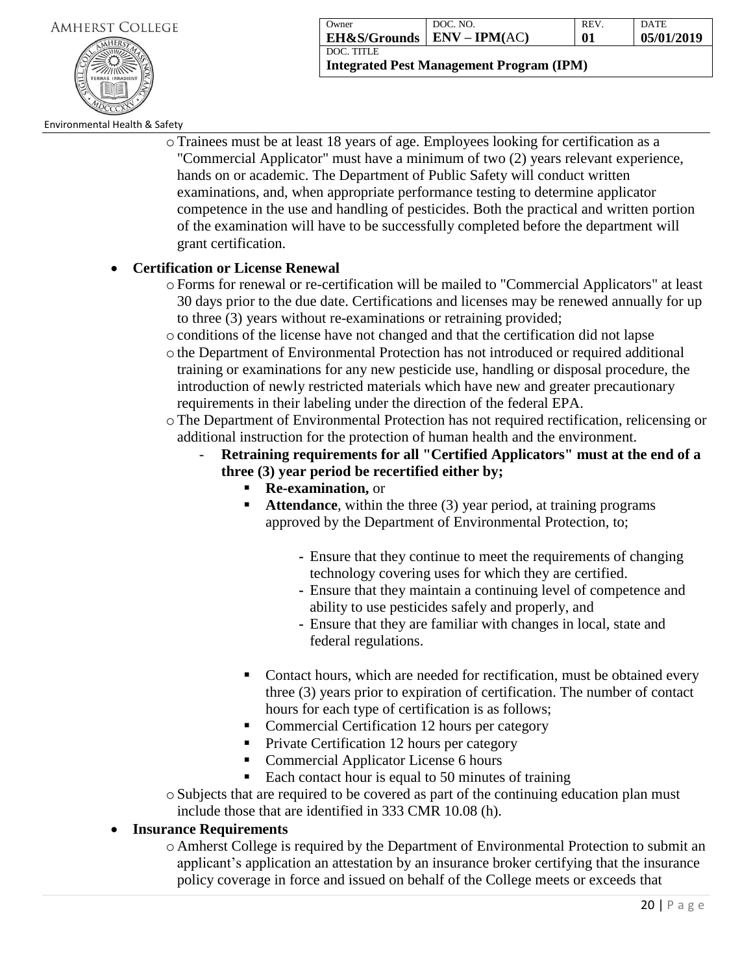

| Owner                        | DOC. NO. | <b>REV</b> | DATE       |
|------------------------------|----------|------------|------------|
| EH&S/Grounds   ENV – IPM(AC) |          | 01         | 05/01/2019 |
| DOC. TITLE                   |          |            |            |

**Integrated Pest Management Program (IPM)**

#### Environmental Health & Safety

oTrainees must be at least 18 years of age. Employees looking for certification as a "Commercial Applicator" must have a minimum of two (2) years relevant experience, hands on or academic. The Department of Public Safety will conduct written examinations, and, when appropriate performance testing to determine applicator competence in the use and handling of pesticides. Both the practical and written portion of the examination will have to be successfully completed before the department will grant certification.

### **Certification or License Renewal**

- oForms for renewal or re-certification will be mailed to "Commercial Applicators" at least 30 days prior to the due date. Certifications and licenses may be renewed annually for up to three (3) years without re-examinations or retraining provided;
- oconditions of the license have not changed and that the certification did not lapse
- othe Department of Environmental Protection has not introduced or required additional training or examinations for any new pesticide use, handling or disposal procedure, the introduction of newly restricted materials which have new and greater precautionary requirements in their labeling under the direction of the federal EPA.
- oThe Department of Environmental Protection has not required rectification, relicensing or additional instruction for the protection of human health and the environment.
	- **Retraining requirements for all "Certified Applicators" must at the end of a three (3) year period be recertified either by;**
		- **Re-examination,** or
		- **Attendance**, within the three (3) year period, at training programs approved by the Department of Environmental Protection, to;
			- **-** Ensure that they continue to meet the requirements of changing technology covering uses for which they are certified.
			- **-** Ensure that they maintain a continuing level of competence and ability to use pesticides safely and properly, and
			- **-** Ensure that they are familiar with changes in local, state and federal regulations.
		- Contact hours, which are needed for rectification, must be obtained every three (3) years prior to expiration of certification. The number of contact hours for each type of certification is as follows;
		- Commercial Certification 12 hours per category
		- **Private Certification 12 hours per category**
		- Commercial Applicator License 6 hours
		- Each contact hour is equal to 50 minutes of training
- oSubjects that are required to be covered as part of the continuing education plan must include those that are identified in 333 CMR 10.08 (h).

### **Insurance Requirements**

o Amherst College is required by the Department of Environmental Protection to submit an applicant's application an attestation by an insurance broker certifying that the insurance policy coverage in force and issued on behalf of the College meets or exceeds that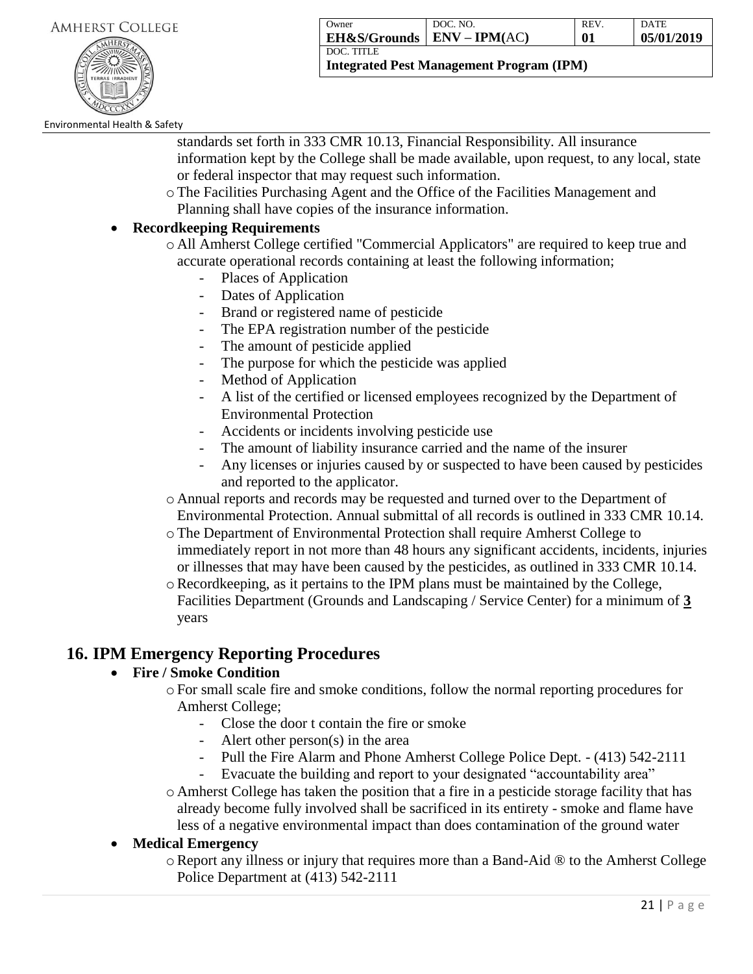

| Owner                        | DOC. NO. | <b>REV</b> | <b>DATE</b> |
|------------------------------|----------|------------|-------------|
| EH&S/Grounds   ENV – IPM(AC) |          | 01         | 05/01/2019  |
| DOC. TITLE                   |          |            |             |

**Integrated Pest Management Program (IPM)**

Environmental Health & Safety

standards set forth in 333 CMR 10.13, Financial Responsibility. All insurance information kept by the College shall be made available, upon request, to any local, state or federal inspector that may request such information.

oThe Facilities Purchasing Agent and the Office of the Facilities Management and Planning shall have copies of the insurance information.

### **Recordkeeping Requirements**

- o All Amherst College certified "Commercial Applicators" are required to keep true and accurate operational records containing at least the following information;
	- Places of Application
	- Dates of Application
	- Brand or registered name of pesticide
	- The EPA registration number of the pesticide
	- The amount of pesticide applied
	- The purpose for which the pesticide was applied
	- Method of Application
	- A list of the certified or licensed employees recognized by the Department of Environmental Protection
	- Accidents or incidents involving pesticide use
	- The amount of liability insurance carried and the name of the insurer
	- Any licenses or injuries caused by or suspected to have been caused by pesticides and reported to the applicator.
- o Annual reports and records may be requested and turned over to the Department of Environmental Protection. Annual submittal of all records is outlined in 333 CMR 10.14.
- oThe Department of Environmental Protection shall require Amherst College to immediately report in not more than 48 hours any significant accidents, incidents, injuries or illnesses that may have been caused by the pesticides, as outlined in 333 CMR 10.14.
- $\circ$  Recordkeeping, as it pertains to the IPM plans must be maintained by the College, Facilities Department (Grounds and Landscaping / Service Center) for a minimum of **3** years

# **16. IPM Emergency Reporting Procedures**

# **Fire / Smoke Condition**

- oFor small scale fire and smoke conditions, follow the normal reporting procedures for Amherst College;
	- Close the door t contain the fire or smoke
	- Alert other person $(s)$  in the area
	- Pull the Fire Alarm and Phone Amherst College Police Dept. (413) 542-2111
	- Evacuate the building and report to your designated "accountability area"
- o Amherst College has taken the position that a fire in a pesticide storage facility that has already become fully involved shall be sacrificed in its entirety - smoke and flame have less of a negative environmental impact than does contamination of the ground water

# **Medical Emergency**

oReport any illness or injury that requires more than a Band-Aid ® to the Amherst College Police Department at (413) 542-2111